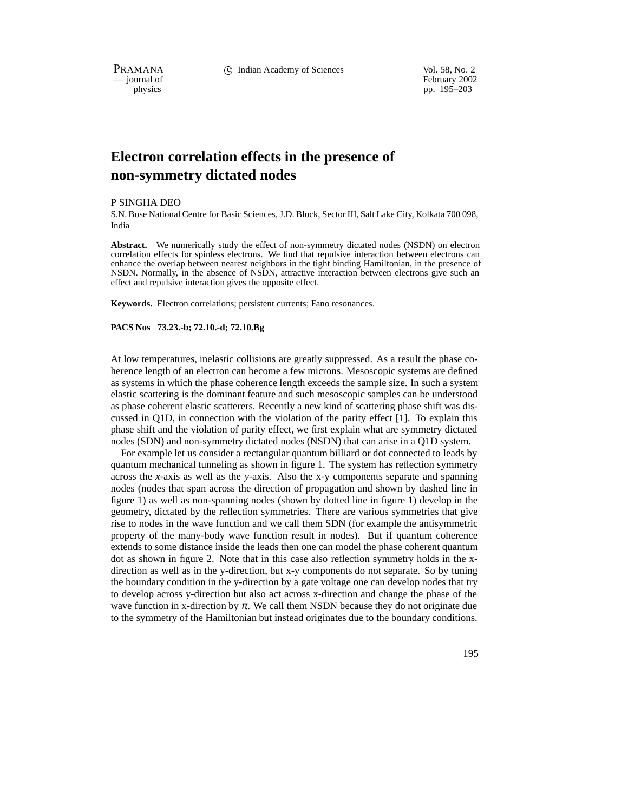PRAMANA c Indian Academy of Sciences Vol. 58, No. 2

physics<br>
pp. 195–203<br>
pp. 195–203 pp. 195–203

# **Electron correlation effects in the presence of non-symmetry dictated nodes**

#### P SINGHA DEO

S.N. Bose National Centre for Basic Sciences, J.D. Block, Sector III, Salt Lake City, Kolkata 700 098, India

**Abstract.** We numerically study the effect of non-symmetry dictated nodes (NSDN) on electron correlation effects for spinless electrons. We find that repulsive interaction between electrons can enhance the overlap between nearest neighbors in the tight binding Hamiltonian, in the presence of NSDN. Normally, in the absence of NSDN, attractive interaction between electrons give such an effect and repulsive interaction gives the opposite effect.

**Keywords.** Electron correlations; persistent currents; Fano resonances.

## **PACS Nos 73.23.-b; 72.10.-d; 72.10.Bg**

At low temperatures, inelastic collisions are greatly suppressed. As a result the phase coherence length of an electron can become a few microns. Mesoscopic systems are defined as systems in which the phase coherence length exceeds the sample size. In such a system elastic scattering is the dominant feature and such mesoscopic samples can be understood as phase coherent elastic scatterers. Recently a new kind of scattering phase shift was discussed in Q1D, in connection with the violation of the parity effect [1]. To explain this phase shift and the violation of parity effect, we first explain what are symmetry dictated nodes (SDN) and non-symmetry dictated nodes (NSDN) that can arise in a Q1D system.

For example let us consider a rectangular quantum billiard or dot connected to leads by quantum mechanical tunneling as shown in figure 1. The system has reflection symmetry across the *x*-axis as well as the *y*-axis. Also the x-y components separate and spanning nodes (nodes that span across the direction of propagation and shown by dashed line in figure 1) as well as non-spanning nodes (shown by dotted line in figure 1) develop in the geometry, dictated by the reflection symmetries. There are various symmetries that give rise to nodes in the wave function and we call them SDN (for example the antisymmetric property of the many-body wave function result in nodes). But if quantum coherence extends to some distance inside the leads then one can model the phase coherent quantum dot as shown in figure 2. Note that in this case also reflection symmetry holds in the xdirection as well as in the y-direction, but x-y components do not separate. So by tuning the boundary condition in the y-direction by a gate voltage one can develop nodes that try to develop across y-direction but also act across x-direction and change the phase of the wave function in x-direction by  $\pi$ . We call them NSDN because they do not originate due to the symmetry of the Hamiltonian but instead originates due to the boundary conditions.

195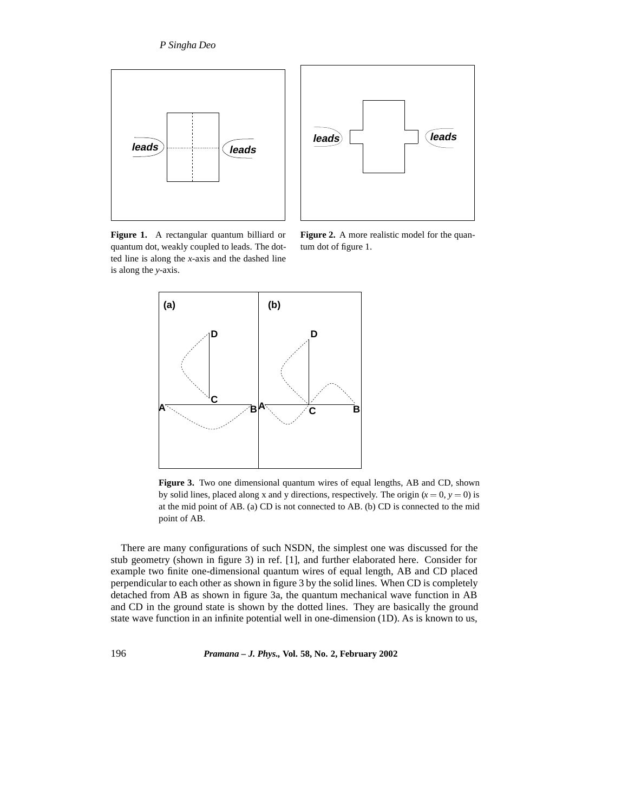



**Figure 1.** A rectangular quantum billiard or quantum dot, weakly coupled to leads. The dotted line is along the *x*-axis and the dashed line is along the *y*-axis.

**Figure 2.** A more realistic model for the quantum dot of figure 1.



**Figure 3.** Two one dimensional quantum wires of equal lengths, AB and CD, shown by solid lines, placed along x and y directions, respectively. The origin  $(x = 0, y = 0)$  is at the mid point of AB. (a) CD is not connected to AB. (b) CD is connected to the mid point of AB.

There are many configurations of such NSDN, the simplest one was discussed for the stub geometry (shown in figure 3) in ref. [1], and further elaborated here. Consider for example two finite one-dimensional quantum wires of equal length, AB and CD placed perpendicular to each other as shown in figure 3 by the solid lines. When CD is completely detached from AB as shown in figure 3a, the quantum mechanical wave function in AB and CD in the ground state is shown by the dotted lines. They are basically the ground state wave function in an infinite potential well in one-dimension (1D). As is known to us,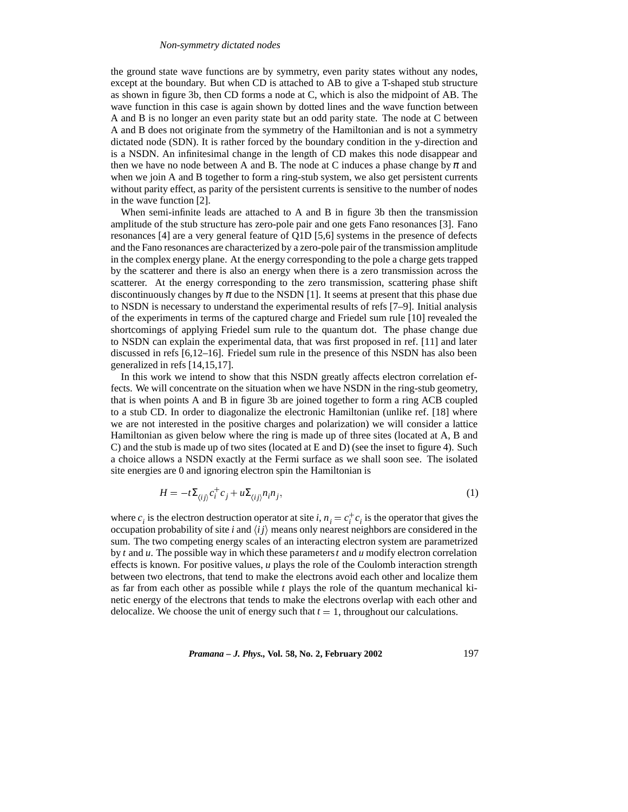## *Non-symmetry dictated nodes*

the ground state wave functions are by symmetry, even parity states without any nodes, except at the boundary. But when CD is attached to AB to give a T-shaped stub structure as shown in figure 3b, then CD forms a node at C, which is also the midpoint of AB. The wave function in this case is again shown by dotted lines and the wave function between A and B is no longer an even parity state but an odd parity state. The node at C between A and B does not originate from the symmetry of the Hamiltonian and is not a symmetry dictated node (SDN). It is rather forced by the boundary condition in the y-direction and is a NSDN. An infinitesimal change in the length of CD makes this node disappear and then we have no node between A and B. The node at C induces a phase change by  $\pi$  and when we join A and B together to form a ring-stub system, we also get persistent currents without parity effect, as parity of the persistent currents is sensitive to the number of nodes in the wave function [2].

When semi-infinite leads are attached to A and B in figure 3b then the transmission amplitude of the stub structure has zero-pole pair and one gets Fano resonances [3]. Fano resonances [4] are a very general feature of Q1D [5,6] systems in the presence of defects and the Fano resonances are characterized by a zero-pole pair of the transmission amplitude in the complex energy plane. At the energy corresponding to the pole a charge gets trapped by the scatterer and there is also an energy when there is a zero transmission across the scatterer. At the energy corresponding to the zero transmission, scattering phase shift discontinuously changes by  $\pi$  due to the NSDN [1]. It seems at present that this phase due to NSDN is necessary to understand the experimental results of refs [7–9]. Initial analysis of the experiments in terms of the captured charge and Friedel sum rule [10] revealed the shortcomings of applying Friedel sum rule to the quantum dot. The phase change due to NSDN can explain the experimental data, that was first proposed in ref. [11] and later discussed in refs [6,12–16]. Friedel sum rule in the presence of this NSDN has also been generalized in refs [14,15,17].

In this work we intend to show that this NSDN greatly affects electron correlation effects. We will concentrate on the situation when we have NSDN in the ring-stub geometry, that is when points A and B in figure 3b are joined together to form a ring ACB coupled to a stub CD. In order to diagonalize the electronic Hamiltonian (unlike ref. [18] where we are not interested in the positive charges and polarization) we will consider a lattice Hamiltonian as given below where the ring is made up of three sites (located at A, B and C) and the stub is made up of two sites (located at E and D) (see the inset to figure 4). Such a choice allows a NSDN exactly at the Fermi surface as we shall soon see. The isolated site energies are 0 and ignoring electron spin the Hamiltonian is

$$
H = -t\Sigma_{\langle ij\rangle} c_i^+ c_j + u\Sigma_{\langle ij\rangle} n_i n_j,\tag{1}
$$

where  $c_i$  is the electron destruction operator at site *i*,  $n_i = c_i^+ c_i$  is the operator that gives the occupation probability of site *i* and  $\langle ij \rangle$  means only nearest neighbors are considered in the sum. The two competing energy scales of an interacting electron system are parametrized by *t* and *u*. The possible way in which these parameters*t* and *u* modify electron correlation effects is known. For positive values, *u* plays the role of the Coulomb interaction strength between two electrons, that tend to make the electrons avoid each other and localize them as far from each other as possible while *t* plays the role of the quantum mechanical kinetic energy of the electrons that tends to make the electrons overlap with each other and delocalize. We choose the unit of energy such that  $t = 1$ , throughout our calculations.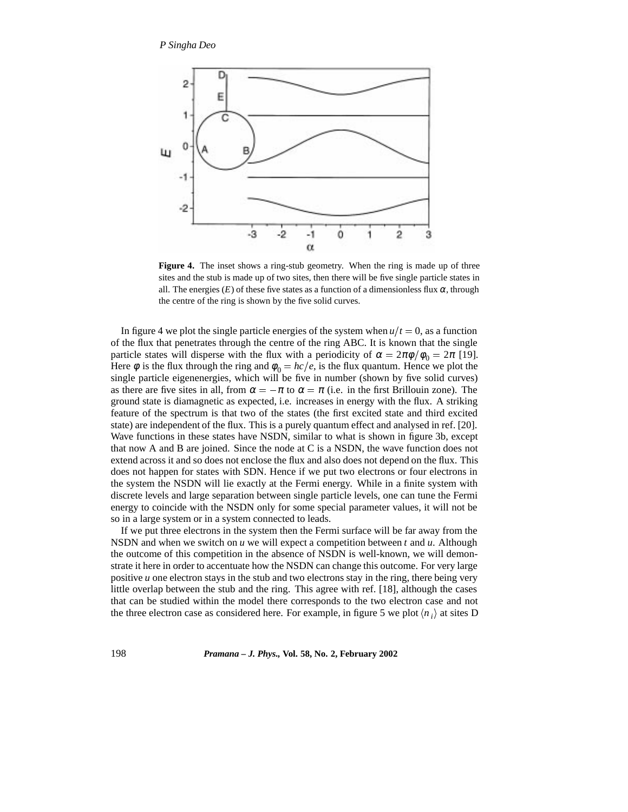

**Figure 4.** The inset shows a ring-stub geometry. When the ring is made up of three sites and the stub is made up of two sites, then there will be five single particle states in all. The energies  $(E)$  of these five states as a function of a dimensionless flux  $\alpha$ , through the centre of the ring is shown by the five solid curves.

In figure 4 we plot the single particle energies of the system when  $u/t = 0$ , as a function of the flux that penetrates through the centre of the ring ABC. It is known that the single particle states will disperse with the flux with a periodicity of  $\alpha = 2\pi \phi / \phi_0 = 2\pi$  [19]. Here  $\phi$  is the flux through the ring and  $\phi_0 = hc/e$ , is the flux quantum. Hence we plot the single particle eigenenergies, which will be five in number (shown by five solid curves) as there are five sites in all, from  $\alpha = -\pi$  to  $\alpha = \pi$  (i.e. in the first Brillouin zone). The ground state is diamagnetic as expected, i.e. increases in energy with the flux. A striking feature of the spectrum is that two of the states (the first excited state and third excited state) are independent of the flux. This is a purely quantum effect and analysed in ref. [20]. Wave functions in these states have NSDN, similar to what is shown in figure 3b, except that now A and B are joined. Since the node at C is a NSDN, the wave function does not extend across it and so does not enclose the flux and also does not depend on the flux. This does not happen for states with SDN. Hence if we put two electrons or four electrons in the system the NSDN will lie exactly at the Fermi energy. While in a finite system with discrete levels and large separation between single particle levels, one can tune the Fermi energy to coincide with the NSDN only for some special parameter values, it will not be so in a large system or in a system connected to leads.

If we put three electrons in the system then the Fermi surface will be far away from the NSDN and when we switch on *u* we will expect a competition between *t* and *u*. Although the outcome of this competition in the absence of NSDN is well-known, we will demonstrate it here in order to accentuate how the NSDN can change this outcome. For very large positive *u* one electron stays in the stub and two electrons stay in the ring, there being very little overlap between the stub and the ring. This agree with ref. [18], although the cases that can be studied within the model there corresponds to the two electron case and not the three electron case as considered here. For example, in figure 5 we plot  $\langle n_i \rangle$  at sites D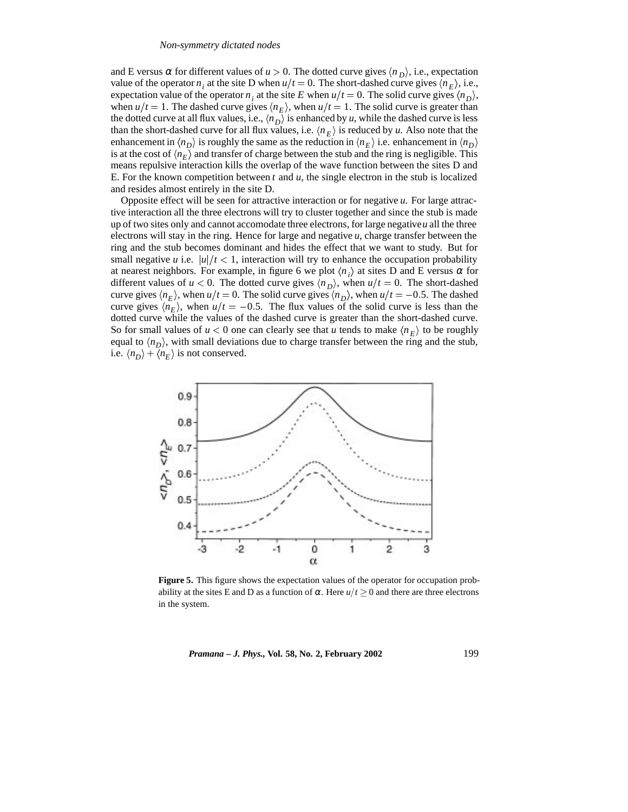#### *Non-symmetry dictated nodes*

and E versus  $\alpha$  for different values of  $u > 0$ . The dotted curve gives  $\langle n_D \rangle$ , i.e., expectation value of the operator  $n_i$  at the site D when  $u/t = 0$ . The short-dashed curve gives  $\langle n_E \rangle$ , i.e., expectation value of the operator *n<sub>i</sub>* at the site *E* when  $u/t = 0$ . The solid curve gives  $\langle n_D \rangle$ , when  $u/t = 1$ . The dashed curve gives  $\langle n_E \rangle$ , when  $u/t = 1$ . The solid curve is greater than the dotted curve at all flux values, i.e.,  $\langle n_D \rangle$  is enhanced by *u*, while the dashed curve is less than the short-dashed curve for all flux values, i.e.  $\langle n_E \rangle$  is reduced by *u*. Also note that the enhancement in  $\langle n_D \rangle$  is roughly the same as the reduction in  $\langle n_F \rangle$  i.e. enhancement in  $\langle n_D \rangle$ is at the cost of  $\langle n_E \rangle$  and transfer of charge between the stub and the ring is negligible. This means repulsive interaction kills the overlap of the wave function between the sites D and E. For the known competition between *t* and *u*, the single electron in the stub is localized and resides almost entirely in the site D.

Opposite effect will be seen for attractive interaction or for negative *u*. For large attractive interaction all the three electrons will try to cluster together and since the stub is made up of two sites only and cannot accomodate three electrons, for large negative*u* all the three electrons will stay in the ring. Hence for large and negative *u*, charge transfer between the ring and the stub becomes dominant and hides the effect that we want to study. But for small negative *u* i.e.  $|u|/t < 1$ , interaction will try to enhance the occupation probability at nearest neighbors. For example, in figure 6 we plot  $\langle n_i \rangle$  at sites D and E versus  $\alpha$  for different values of  $u < 0$ . The dotted curve gives  $\langle n_h \rangle$ , when  $u/t = 0$ . The short-dashed curve gives  $\langle n_E \rangle$ , when *u*/*t* = 0. The solid curve gives  $\langle n_D \rangle$ , when *u*/*t* = -0.5. The dashed curve gives  $\langle n_E \rangle$ , when  $u/t = -0.5$ . The flux values of the solid curve is less than the dotted curve while the values of the dashed curve is greater than the short-dashed curve. So for small values of  $u < 0$  one can clearly see that *u* tends to make  $\langle n_F \rangle$  to be roughly equal to  $\langle n_D \rangle$ , with small deviations due to charge transfer between the ring and the stub, i.e.  $\langle n_D \rangle + \langle n_E \rangle$  is not conserved.



**Figure 5.** This figure shows the expectation values of the operator for occupation probability at the sites E and D as a function of  $\alpha$ . Here  $u/t \geq 0$  and there are three electrons in the system.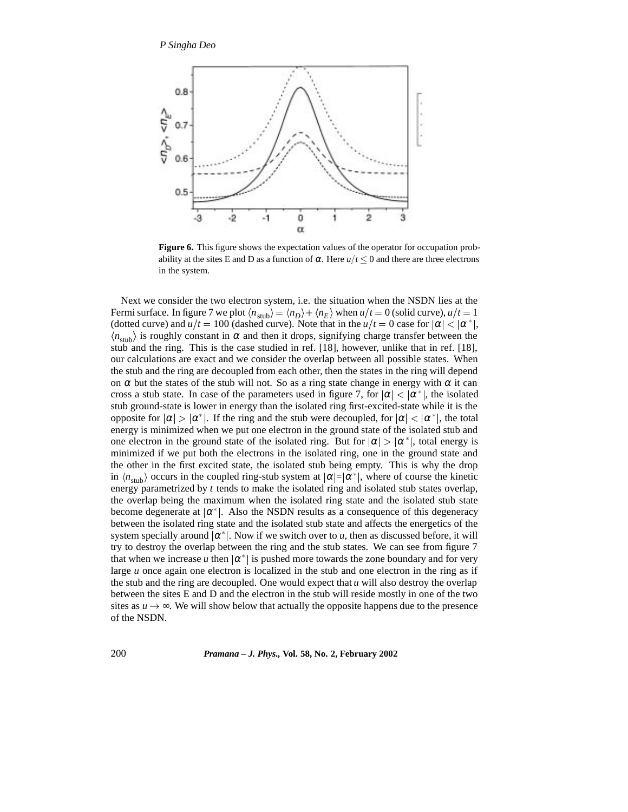

**Figure 6.** This figure shows the expectation values of the operator for occupation probability at the sites E and D as a function of  $\alpha$ . Here  $u/t \leq 0$  and there are three electrons in the system.

Next we consider the two electron system, i.e. the situation when the NSDN lies at the Fermi surface. In figure 7 we plot  $\langle n_{sub} \rangle = \langle n_D \rangle + \langle n_E \rangle$  when  $u/t = 0$  (solid curve),  $u/t = 1$ (dotted curve) and  $u/t = 100$  (dashed curve). Note that in the  $u/t = 0$  case for  $|\alpha| < |\alpha^*|$ ,  $\langle n_{\text{stub}} \rangle$  is roughly constant in  $\alpha$  and then it drops, signifying charge transfer between the stub and the ring. This is the case studied in ref. [18], however, unlike that in ref. [18], our calculations are exact and we consider the overlap between all possible states. When the stub and the ring are decoupled from each other, then the states in the ring will depend on  $\alpha$  but the states of the stub will not. So as a ring state change in energy with  $\alpha$  it can cross a stub state. In case of the parameters used in figure 7, for  $|\alpha| < |\alpha^*|$ , the isolated stub ground-state is lower in energy than the isolated ring first-excited-state while it is the opposite for  $|\alpha| > |\alpha^*|$ . If the ring and the stub were decoupled, for  $|\alpha| < |\alpha^*|$ , the total energy is minimized when we put one electron in the ground state of the isolated stub and one electron in the ground state of the isolated ring. But for  $|\alpha| > |\alpha^*|$ , total energy is minimized if we put both the electrons in the isolated ring, one in the ground state and the other in the first excited state, the isolated stub being empty. This is why the drop in  $\langle n_{\text{stab}}\rangle$  occurs in the coupled ring-stub system at  $|\alpha|=|\alpha^*|$ , where of course the kinetic energy parametrized by *t* tends to make the isolated ring and isolated stub states overlap, the overlap being the maximum when the isolated ring state and the isolated stub state become degenerate at  $|\alpha^*|$ . Also the NSDN results as a consequence of this degeneracy between the isolated ring state and the isolated stub state and affects the energetics of the system specially around  $|\alpha^*|$ . Now if we switch over to *u*, then as discussed before, it will try to destroy the overlap between the ring and the stub states. We can see from figure 7 that when we increase u then  $|\alpha^*|$  is pushed more towards the zone boundary and for very large *u* once again one electron is localized in the stub and one electron in the ring as if the stub and the ring are decoupled. One would expect that  $u$  will also destroy the overlap between the sites E and D and the electron in the stub will reside mostly in one of the two sites as  $u \rightarrow \infty$ . We will show below that actually the opposite happens due to the presence of the NSDN.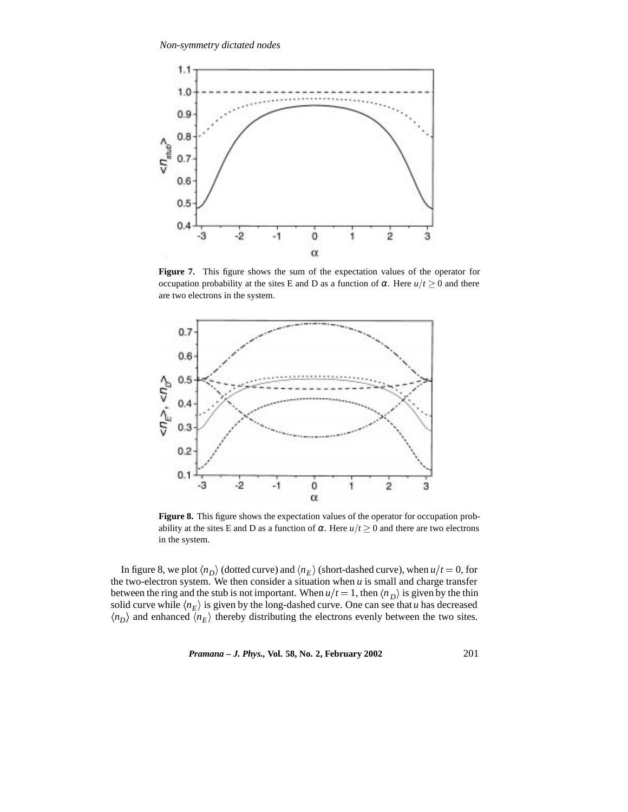

**Figure 7.** This figure shows the sum of the expectation values of the operator for occupation probability at the sites E and D as a function of α. Here  $u/t \geq 0$  and there are two electrons in the system.



**Figure 8.** This figure shows the expectation values of the operator for occupation probability at the sites E and D as a function of  $\alpha$ . Here  $u/t \geq 0$  and there are two electrons in the system.

In figure 8, we plot  $\langle n_D \rangle$  (dotted curve) and  $\langle n_E \rangle$  (short-dashed curve), when  $u/t = 0$ , for the two-electron system. We then consider a situation when  $u$  is small and charge transfer between the ring and the stub is not important. When  $u/t = 1$ , then  $\langle n_D \rangle$  is given by the thin solid curve while  $\langle n_E \rangle$  is given by the long-dashed curve. One can see that *u* has decreased  $\langle n_p \rangle$  and enhanced  $\langle n_E \rangle$  thereby distributing the electrons evenly between the two sites.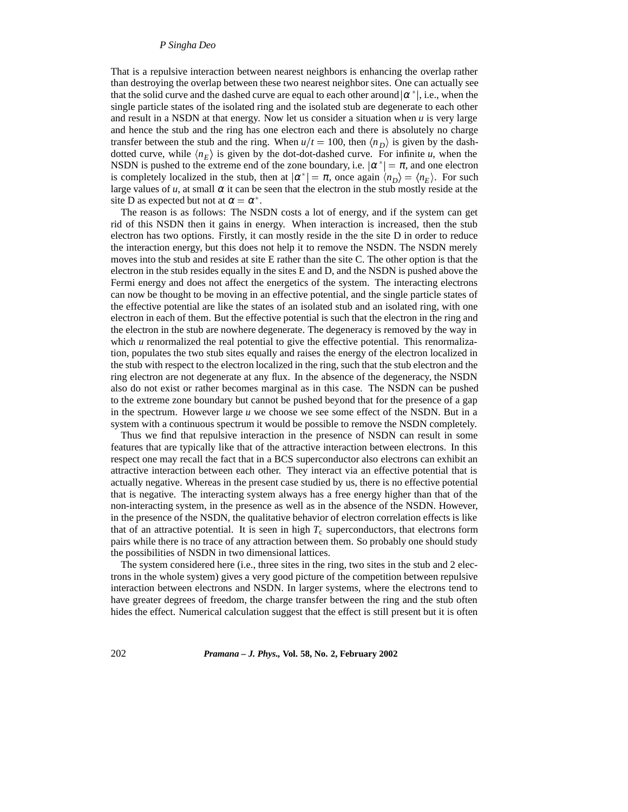# *P Singha Deo*

That is a repulsive interaction between nearest neighbors is enhancing the overlap rather than destroying the overlap between these two nearest neighbor sites. One can actually see that the solid curve and the dashed curve are equal to each other around  $|\alpha^*|$ , i.e., when the single particle states of the isolated ring and the isolated stub are degenerate to each other and result in a NSDN at that energy. Now let us consider a situation when  $u$  is very large and hence the stub and the ring has one electron each and there is absolutely no charge transfer between the stub and the ring. When  $u/t = 100$ , then  $\langle n_h \rangle$  is given by the dashdotted curve, while  $\langle n_E \rangle$  is given by the dot-dot-dashed curve. For infinite *u*, when the NSDN is pushed to the extreme end of the zone boundary, i.e.  $|\alpha^*| = \pi$ , and one electron is completely localized in the stub, then at  $|\alpha^*| = \pi$ , once again  $\langle n_D \rangle = \langle n_E \rangle$ . For such large values of  $u$ , at small  $\alpha$  it can be seen that the electron in the stub mostly reside at the site D as expected but not at  $\alpha = \alpha^*$ .

The reason is as follows: The NSDN costs a lot of energy, and if the system can get rid of this NSDN then it gains in energy. When interaction is increased, then the stub electron has two options. Firstly, it can mostly reside in the the site D in order to reduce the interaction energy, but this does not help it to remove the NSDN. The NSDN merely moves into the stub and resides at site E rather than the site C. The other option is that the electron in the stub resides equally in the sites E and D, and the NSDN is pushed above the Fermi energy and does not affect the energetics of the system. The interacting electrons can now be thought to be moving in an effective potential, and the single particle states of the effective potential are like the states of an isolated stub and an isolated ring, with one electron in each of them. But the effective potential is such that the electron in the ring and the electron in the stub are nowhere degenerate. The degeneracy is removed by the way in which *u* renormalized the real potential to give the effective potential. This renormalization, populates the two stub sites equally and raises the energy of the electron localized in the stub with respect to the electron localized in the ring, such that the stub electron and the ring electron are not degenerate at any flux. In the absence of the degeneracy, the NSDN also do not exist or rather becomes marginal as in this case. The NSDN can be pushed to the extreme zone boundary but cannot be pushed beyond that for the presence of a gap in the spectrum. However large *u* we choose we see some effect of the NSDN. But in a system with a continuous spectrum it would be possible to remove the NSDN completely.

Thus we find that repulsive interaction in the presence of NSDN can result in some features that are typically like that of the attractive interaction between electrons. In this respect one may recall the fact that in a BCS superconductor also electrons can exhibit an attractive interaction between each other. They interact via an effective potential that is actually negative. Whereas in the present case studied by us, there is no effective potential that is negative. The interacting system always has a free energy higher than that of the non-interacting system, in the presence as well as in the absence of the NSDN. However, in the presence of the NSDN, the qualitative behavior of electron correlation effects is like that of an attractive potential. It is seen in high  $T_c$  superconductors, that electrons form pairs while there is no trace of any attraction between them. So probably one should study the possibilities of NSDN in two dimensional lattices.

The system considered here (i.e., three sites in the ring, two sites in the stub and 2 electrons in the whole system) gives a very good picture of the competition between repulsive interaction between electrons and NSDN. In larger systems, where the electrons tend to have greater degrees of freedom, the charge transfer between the ring and the stub often hides the effect. Numerical calculation suggest that the effect is still present but it is often